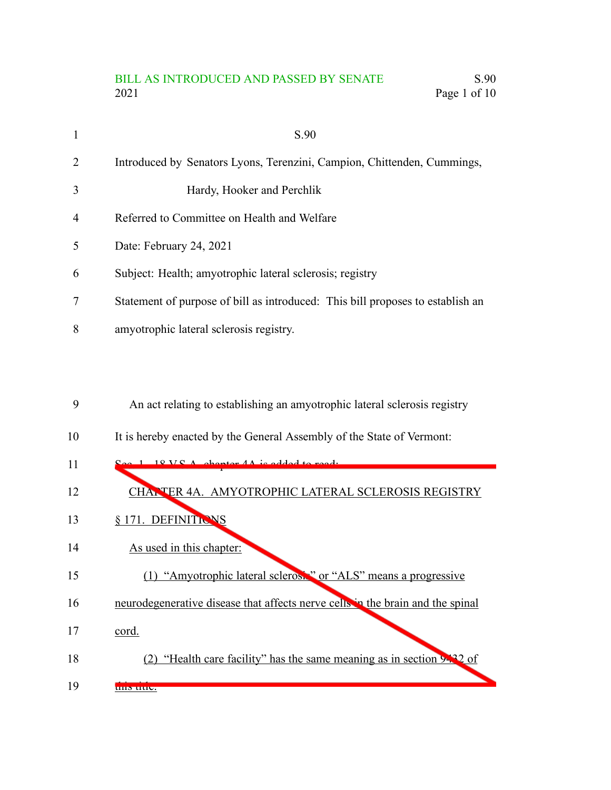# BILL AS INTRODUCED AND PASSED BY SENATE S.90 2021 Page 1 of 10

| $\mathbf{1}$   | S.90                                                                           |
|----------------|--------------------------------------------------------------------------------|
| 2              | Introduced by Senators Lyons, Terenzini, Campion, Chittenden, Cummings,        |
| 3              | Hardy, Hooker and Perchlik                                                     |
| $\overline{4}$ | Referred to Committee on Health and Welfare                                    |
| 5              | Date: February 24, 2021                                                        |
| 6              | Subject: Health; amyotrophic lateral sclerosis; registry                       |
| 7              | Statement of purpose of bill as introduced: This bill proposes to establish an |
| 8              | amyotrophic lateral sclerosis registry.                                        |

#### An act relating to establishing an amyotrophic lateral sclerosis registry 9

It is hereby enacted by the General Assembly of the State of Vermont: 10

| 11 | $18VCA$ chanter $AA$ is added to read.                                         |
|----|--------------------------------------------------------------------------------|
| 12 | CHANTER 4A. AMYOTROPHIC LATERAL SCLEROSIS REGISTRY                             |
| 13 | §171. DEFINITIONS                                                              |
| 14 | As used in this chapter:                                                       |
| 15 | (1) "Amyotrophic lateral sclerosis" or "ALS" means a progressive               |
| 16 | neurodegenerative disease that affects nerve cells in the brain and the spinal |
| 17 | cord.                                                                          |
| 18 | "Health care facility" has the same meaning as in section 9432 of              |
| 19 | uns uuc.                                                                       |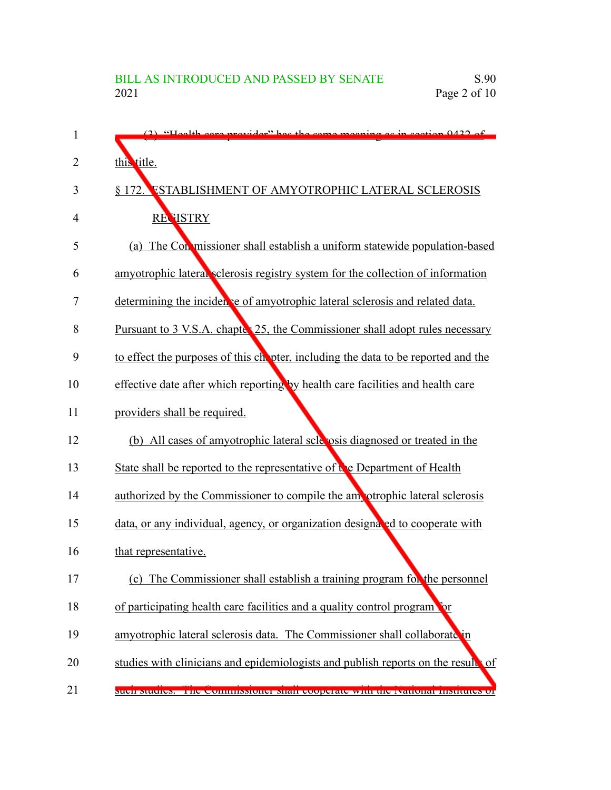| 1              | (2) "Health ears provider" has the same meaning as in section 0422 of                |
|----------------|--------------------------------------------------------------------------------------|
| $\overline{2}$ | this title.                                                                          |
| 3              | <b>ESTABLISHMENT OF AMYOTROPHIC LATERAL SCLEROSIS</b><br>§ 172.                      |
| 4              | <b>REVISTRY</b>                                                                      |
| 5              | (a) The Conmissioner shall establish a uniform statewide population-based            |
| 6              | amyotrophic lateral sclerosis registry system for the collection of information      |
| 7              | determining the incidence of amyotrophic lateral sclerosis and related data.         |
| 8              | Pursuant to 3 V.S.A. chapter 25, the Commissioner shall adopt rules necessary        |
| 9              | to effect the purposes of this chooter, including the data to be reported and the    |
| 10             | effective date after which reporting by health care facilities and health care       |
| 11             | providers shall be required.                                                         |
| 12             | (b) All cases of amyotrophic lateral scle osis diagnosed or treated in the           |
| 13             | State shall be reported to the representative of $\mathbf{t}$ e Department of Health |
| 14             | authorized by the Commissioner to compile the ampotrophic lateral sclerosis          |
| 15             | data, or any individual, agency, or organization designated to cooperate with        |
| 16             | that representative.                                                                 |
| 17             | (c) The Commissioner shall establish a training program for the personnel            |
| 18             | of participating health care facilities and a quality control program                |
| 19             | amyotrophic lateral sclerosis data. The Commissioner shall collaborate in            |
| 20             | studies with clinicians and epidemiologists and publish reports on the result of     |
| 21             | such suddes. The commissioner shall cooperate while its reatonal mistitutes of       |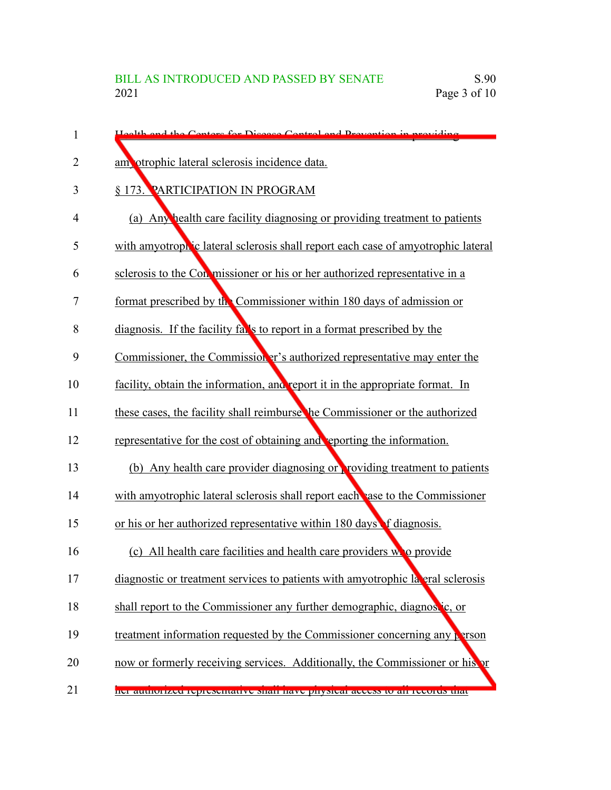| 1              | Health and the Centers for Disease Central and Prevention in providing           |
|----------------|----------------------------------------------------------------------------------|
| $\overline{2}$ | am otrophic lateral sclerosis incidence data.                                    |
| 3              | § 173. PARTICIPATION IN PROGRAM                                                  |
| 4              | (a) Any health care facility diagnosing or providing treatment to patients       |
| 5              | with amyotrophic lateral sclerosis shall report each case of amyotrophic lateral |
| 6              | sclerosis to the Conmissioner or his or her authorized representative in a       |
| 7              | format prescribed by the Commissioner within 180 days of admission or            |
| 8              | diagnosis. If the facility falls to report in a format prescribed by the         |
| 9              | Commissioner, the Commissioner's authorized representative may enter the         |
| 10             | facility, obtain the information, and report it in the appropriate format. In    |
| 11             | these cases, the facility shall reimburse the Commissioner or the authorized     |
| 12             | representative for the cost of obtaining and reporting the information.          |
| 13             | (b) Any health care provider diagnosing or providing treatment to patients       |
| 14             | with amyotrophic lateral sclerosis shall report each as to the Commissioner      |
| 15             | or his or her authorized representative within 180 days of diagnosis.            |
| 16             | (c) All health care facilities and health care providers who provide             |
| 17             | diagnostic or treatment services to patients with amyotrophic lateral sclerosis  |
| 18             | shall report to the Commissioner any further demographic, diagnostic, or         |
| 19             | treatment information requested by the Commissioner concerning any person        |
| 20             | now or formerly receiving services. Additionally, the Commissioner or his or     |
| 21             | ner authorized representative shall have physical access to an records that      |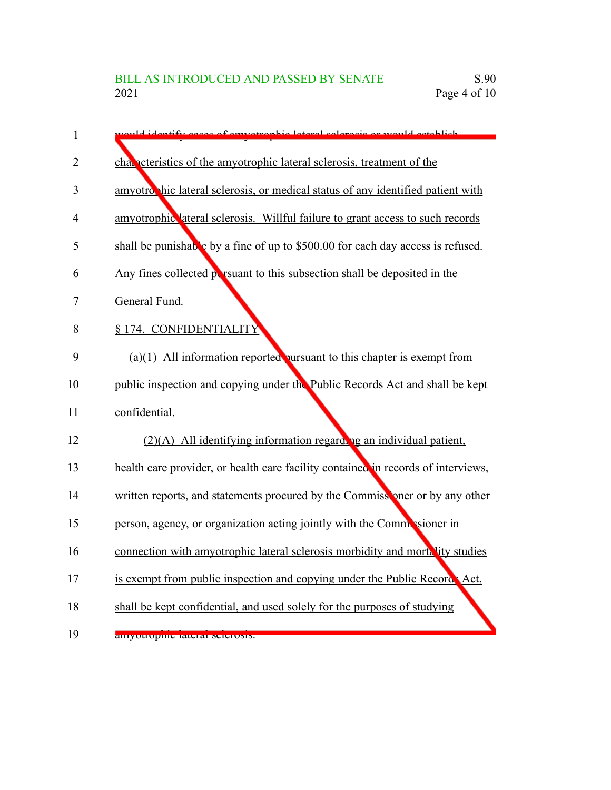| $\mathbf{1}$   | ould identify eases of emyotrophic lateral solerosis or would ostablish           |
|----------------|-----------------------------------------------------------------------------------|
| $\overline{2}$ | chan experience of the amyotrophic lateral sclerosis, treatment of the            |
| 3              | amyotro hic lateral sclerosis, or medical status of any identified patient with   |
| 4              | amyotrophic lateral sclerosis. Willful failure to grant access to such records    |
| 5              | shall be punishable by a fine of up to \$500.00 for each day access is refused.   |
| 6              | Any fines collected por resument to this subsection shall be deposited in the     |
| 7              | General Fund.                                                                     |
| 8              | § 174. CONFIDENTIALITY                                                            |
| 9              | $(a)(1)$ All information reported pursuant to this chapter is exempt from         |
| 10             | public inspection and copying under the Public Records Act and shall be kept      |
| 11             | confidential.                                                                     |
| 12             | $(2)(A)$ All identifying information regarding an individual patient,             |
| 13             | health care provider, or health care facility contained in records of interviews, |
| 14             | written reports, and statements procured by the Commissioner or by any other      |
| 15             | person, agency, or organization acting jointly with the Commissioner in           |
| 16             | connection with amyotrophic lateral sclerosis morbidity and mortality studies     |
| 17             | is exempt from public inspection and copying under the Public Record Act,         |
| 18             | shall be kept confidential, and used solely for the purposes of studying          |
| 19             | <u>amyottopine rateral seletosis.</u>                                             |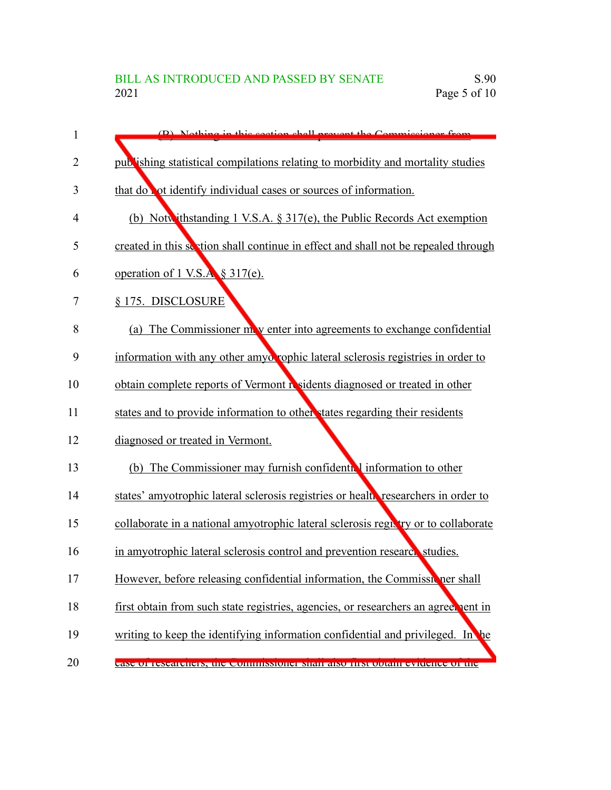| 1              | (B) Nothing in this soction shall prevent the Commissioner from                    |
|----------------|------------------------------------------------------------------------------------|
| $\overline{2}$ | publishing statistical compilations relating to morbidity and mortality studies    |
| 3              | that do not identify individual cases or sources of information.                   |
| 4              | (b) Notwithstanding 1 V.S.A. $\S 317(e)$ , the Public Records Act exemption        |
| 5              | created in this section shall continue in effect and shall not be repealed through |
| 6              | operation of 1 V.S.A § 317(e).                                                     |
| 7              | § 175. DISCLOSURE                                                                  |
| 8              | (a) The Commissioner move enter into agreements to exchange confidential           |
| 9              | information with any other amyo rophic lateral sclerosis registries in order to    |
| 10             | obtain complete reports of Vermont residents diagnosed or treated in other         |
| 11             | states and to provide information to other states regarding their residents        |
| 12             | diagnosed or treated in Vermont.                                                   |
| 13             | (b) The Commissioner may furnish confidential information to other                 |
| 14             | states' amyotrophic lateral sclerosis registries or health researchers in order to |
| 15             | collaborate in a national amyotrophic lateral sclerosis registry or to collaborate |
| 16             | in amyotrophic lateral sclerosis control and prevention research studies.          |
| 17             | However, before releasing confidential information, the Commissioner shall         |
| 18             | first obtain from such state registries, agencies, or researchers an agreenent in  |
| 19             | writing to keep the identifying information confidential and privileged. In the    |
| 20             | case of researchers, the commissioner shall also hist obtain evidence of the       |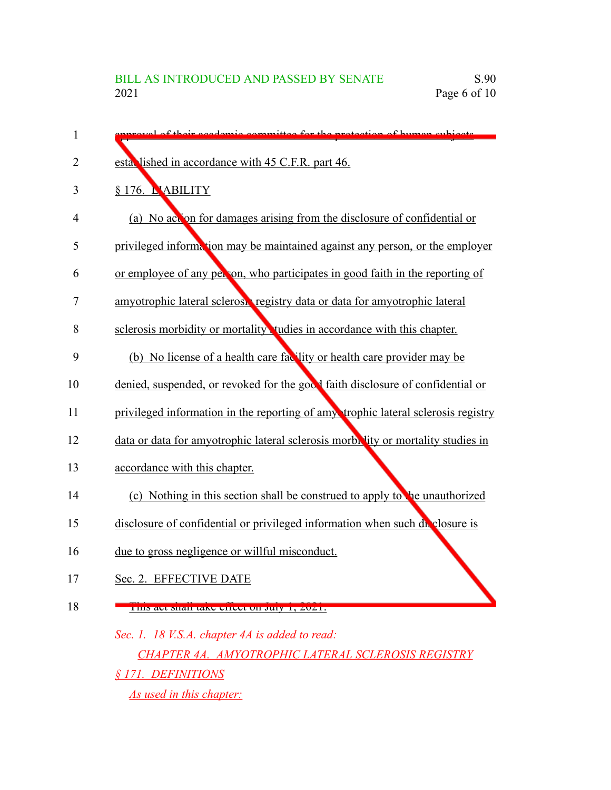| 1  | proval of their academic committee for the protection of human subjects.          |
|----|-----------------------------------------------------------------------------------|
| 2  | esta lished in accordance with 45 C.F.R. part 46.                                 |
| 3  | § 176. L'ABILITY                                                                  |
| 4  | (a) No act on for damages arising from the disclosure of confidential or          |
| 5  | privileged information may be maintained against any person, or the employer      |
| 6  | or employee of any per on, who participates in good faith in the reporting of     |
| 7  | amyotrophic lateral sclerosi registry data or data for amyotrophic lateral        |
| 8  | sclerosis morbidity or mortality tudies in accordance with this chapter.          |
| 9  | (b) No license of a health care facility or health care provider may be           |
| 10 | denied, suspended, or revoked for the good faith disclosure of confidential or    |
| 11 | privileged information in the reporting of amy trophic lateral sclerosis registry |
| 12 | data or data for amyotrophic lateral sclerosis morbe ity or mortality studies in  |
| 13 | accordance with this chapter.                                                     |
| 14 | (c) Nothing in this section shall be construed to apply to the unauthorized       |
| 15 | disclosure of confidential or privileged information when such du closure is      |
| 16 | due to gross negligence or willful misconduct.                                    |
| 17 | Sec. 2. EFFECTIVE DATE                                                            |
| 18 | THIS act shall take effect on July 1, 2021.                                       |
|    | Sec. 1. 18 V.S.A. chapter 4A is added to read:                                    |
|    | <b>CHAPTER 4A. AMYOTROPHIC LATERAL SCLEROSIS REGISTRY</b>                         |
|    |                                                                                   |

*§ 171. DEFINITIONS*

*As used in this chapter:*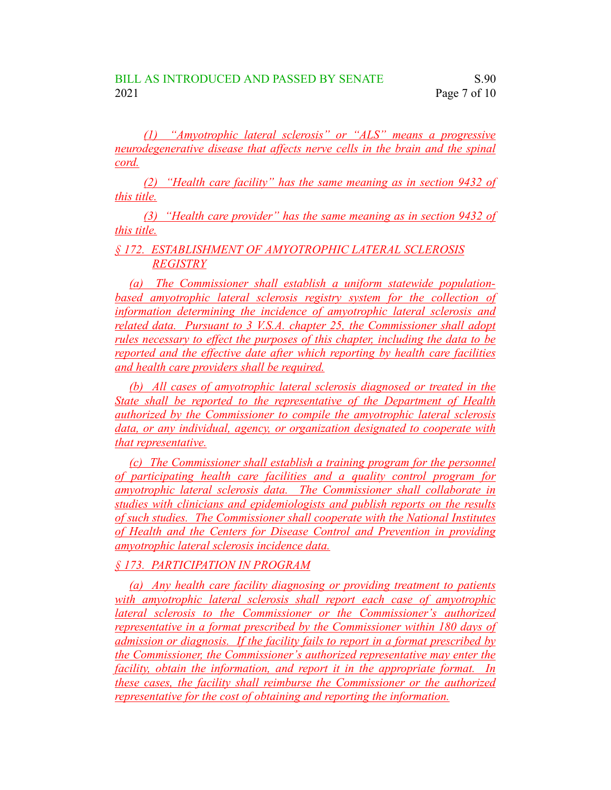*(1) "Amyotrophic lateral sclerosis" or "ALS" means a progressive neurodegenerative disease that affects nerve cells in the brain and the spinal cord.*

*(2) "Health care facility" has the same meaning as in section 9432 of this title.*

*(3) "Health care provider" has the same meaning as in section 9432 of this title.*

*§ 172. ESTABLISHMENT OF AMYOTROPHIC LATERAL SCLEROSIS REGISTRY*

*(a) The Commissioner shall establish a uniform statewide populationbased amyotrophic lateral sclerosis registry system for the collection of information determining the incidence of amyotrophic lateral sclerosis and related data. Pursuant to 3 V.S.A. chapter 25, the Commissioner shall adopt rules necessary to effect the purposes of this chapter, including the data to be reported and the effective date after which reporting by health care facilities and health care providers shall be required.*

*(b) All cases of amyotrophic lateral sclerosis diagnosed or treated in the State shall be reported to the representative of the Department of Health authorized by the Commissioner to compile the amyotrophic lateral sclerosis data, or any individual, agency, or organization designated to cooperate with that representative.*

*(c) The Commissioner shall establish a training program for the personnel of participating health care facilities and a quality control program for amyotrophic lateral sclerosis data. The Commissioner shall collaborate in studies with clinicians and epidemiologists and publish reports on the results of such studies. The Commissioner shall cooperate with the National Institutes of Health and the Centers for Disease Control and Prevention in providing amyotrophic lateral sclerosis incidence data.*

## *§ 173. PARTICIPATION IN PROGRAM*

*(a) Any health care facility diagnosing or providing treatment to patients with amyotrophic lateral sclerosis shall report each case of amyotrophic lateral sclerosis to the Commissioner or the Commissioner's authorized representative in a format prescribed by the Commissioner within 180 days of admission or diagnosis. If the facility fails to report in a format prescribed by the Commissioner, the Commissioner's authorized representative may enter the facility, obtain the information, and report it in the appropriate format. In these cases, the facility shall reimburse the Commissioner or the authorized representative for the cost of obtaining and reporting the information.*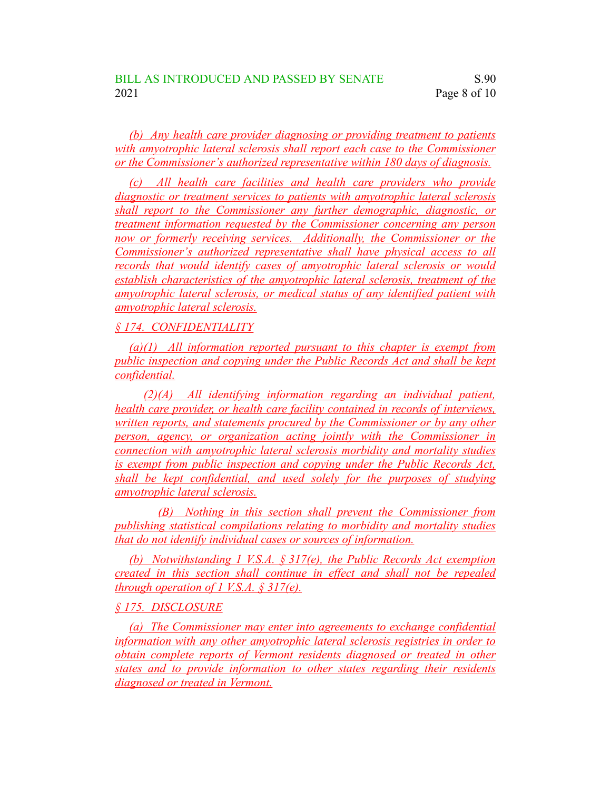*(b) Any health care provider diagnosing or providing treatment to patients with amyotrophic lateral sclerosis shall report each case to the Commissioner or the Commissioner's authorized representative within 180 days of diagnosis.*

*(c) All health care facilities and health care providers who provide diagnostic or treatment services to patients with amyotrophic lateral sclerosis shall report to the Commissioner any further demographic, diagnostic, or treatment information requested by the Commissioner concerning any person now or formerly receiving services. Additionally, the Commissioner or the Commissioner's authorized representative shall have physical access to all records that would identify cases of amyotrophic lateral sclerosis or would establish characteristics of the amyotrophic lateral sclerosis, treatment of the amyotrophic lateral sclerosis, or medical status of any identified patient with amyotrophic lateral sclerosis.*

## *§ 174. CONFIDENTIALITY*

*(a)(1) All information reported pursuant to this chapter is exempt from public inspection and copying under the Public Records Act and shall be kept confidential.*

*(2)(A) All identifying information regarding an individual patient, health care provider, or health care facility contained in records of interviews, written reports, and statements procured by the Commissioner or by any other person, agency, or organization acting jointly with the Commissioner in connection with amyotrophic lateral sclerosis morbidity and mortality studies is exempt from public inspection and copying under the Public Records Act, shall be kept confidential, and used solely for the purposes of studying amyotrophic lateral sclerosis.*

*(B) Nothing in this section shall prevent the Commissioner from publishing statistical compilations relating to morbidity and mortality studies that do not identify individual cases or sources of information.*

*(b) Notwithstanding 1 V.S.A. § 317(e), the Public Records Act exemption created in this section shall continue in effect and shall not be repealed through operation of 1 V.S.A. § 317(e).*

#### *§ 175. DISCLOSURE*

*(a) The Commissioner may enter into agreements to exchange confidential information with any other amyotrophic lateral sclerosis registries in order to obtain complete reports of Vermont residents diagnosed or treated in other states and to provide information to other states regarding their residents diagnosed or treated in Vermont.*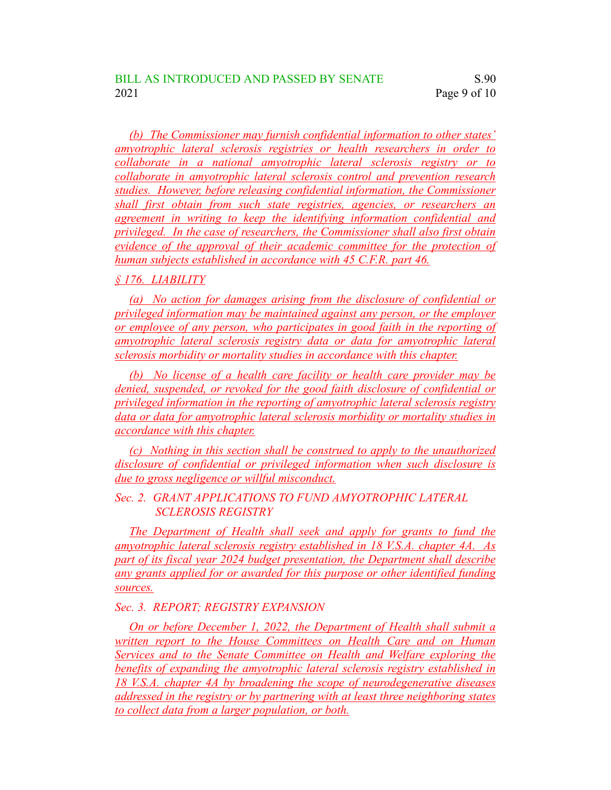*(b) The Commissioner may furnish confidential information to other states' amyotrophic lateral sclerosis registries or health researchers in order to collaborate in a national amyotrophic lateral sclerosis registry or to collaborate in amyotrophic lateral sclerosis control and prevention research studies. However, before releasing confidential information, the Commissioner shall first obtain from such state registries, agencies, or researchers an agreement in writing to keep the identifying information confidential and privileged. In the case of researchers, the Commissioner shall also first obtain evidence of the approval of their academic committee for the protection of human subjects established in accordance with 45 C.F.R. part 46.*

*§ 176. LIABILITY*

*(a) No action for damages arising from the disclosure of confidential or privileged information may be maintained against any person, or the employer or employee of any person, who participates in good faith in the reporting of amyotrophic lateral sclerosis registry data or data for amyotrophic lateral sclerosis morbidity or mortality studies in accordance with this chapter.*

*(b) No license of a health care facility or health care provider may be denied, suspended, or revoked for the good faith disclosure of confidential or privileged information in the reporting of amyotrophic lateral sclerosis registry data or data for amyotrophic lateral sclerosis morbidity or mortality studies in accordance with this chapter.*

*(c) Nothing in this section shall be construed to apply to the unauthorized disclosure of confidential or privileged information when such disclosure is due to gross negligence or willful misconduct.*

*Sec. 2. GRANT APPLICATIONS TO FUND AMYOTROPHIC LATERAL SCLEROSIS REGISTRY*

*The Department of Health shall seek and apply for grants to fund the amyotrophic lateral sclerosis registry established in 18 V.S.A. chapter 4A. As part of its fiscal year 2024 budget presentation, the Department shall describe any grants applied for or awarded for this purpose or other identified funding sources.*

*Sec. 3. REPORT; REGISTRY EXPANSION*

*On or before December 1, 2022, the Department of Health shall submit a written report to the House Committees on Health Care and on Human Services and to the Senate Committee on Health and Welfare exploring the benefits of expanding the amyotrophic lateral sclerosis registry established in 18 V.S.A. chapter 4A by broadening the scope of neurodegenerative diseases addressed in the registry or by partnering with at least three neighboring states to collect data from a larger population, or both.*